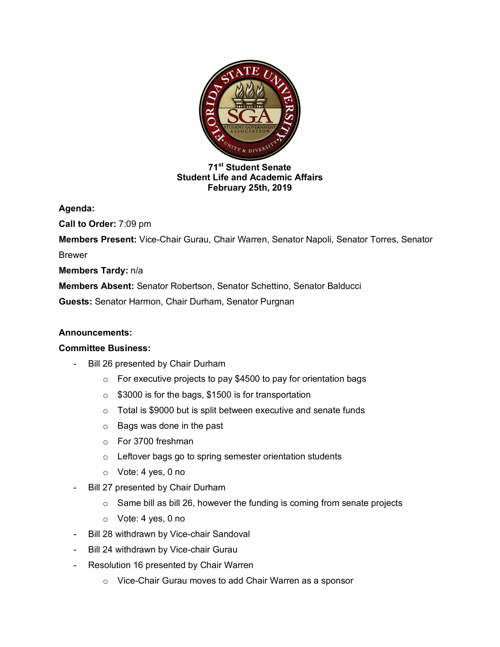

## **71st Student Senate Student Life and Academic Affairs February 25th, 2019**

**Agenda:** 

**Call to Order:** 7:09 pm

**Members Present:** Vice-Chair Gurau, Chair Warren, Senator Napoli, Senator Torres, Senator Brewer

**Members Tardy:** n/a

**Members Absent:** Senator Robertson, Senator Schettino, Senator Balducci

**Guests:** Senator Harmon, Chair Durham, Senator Purgnan

## **Announcements:**

## **Committee Business:**

- Bill 26 presented by Chair Durham
	- $\circ$  For executive projects to pay \$4500 to pay for orientation bags
	- o \$3000 is for the bags, \$1500 is for transportation
	- $\circ$  Total is \$9000 but is split between executive and senate funds
	- o Bags was done in the past
	- o For 3700 freshman
	- o Leftover bags go to spring semester orientation students
	- o Vote: 4 yes, 0 no
- Bill 27 presented by Chair Durham
	- $\circ$  Same bill as bill 26, however the funding is coming from senate projects
	- o Vote: 4 yes, 0 no
- Bill 28 withdrawn by Vice-chair Sandoval
- Bill 24 withdrawn by Vice-chair Gurau
- Resolution 16 presented by Chair Warren
	- o Vice-Chair Gurau moves to add Chair Warren as a sponsor